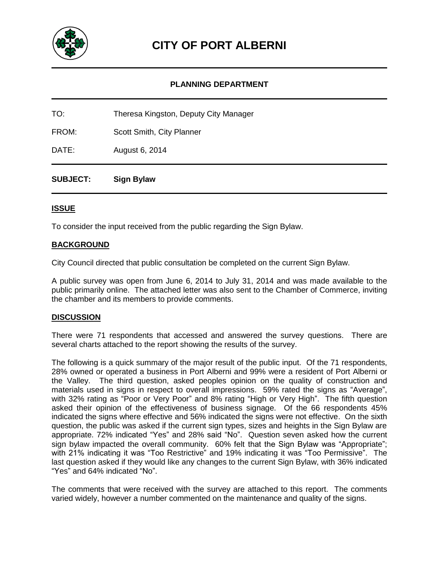

#### **PLANNING DEPARTMENT**

TO: Theresa Kingston, Deputy City Manager

FROM: Scott Smith, City Planner

DATE: August 6, 2014

**SUBJECT: Sign Bylaw**

#### **ISSUE**

To consider the input received from the public regarding the Sign Bylaw.

#### **BACKGROUND**

City Council directed that public consultation be completed on the current Sign Bylaw.

A public survey was open from June 6, 2014 to July 31, 2014 and was made available to the public primarily online. The attached letter was also sent to the Chamber of Commerce, inviting the chamber and its members to provide comments.

#### **DISCUSSION**

There were 71 respondents that accessed and answered the survey questions. There are several charts attached to the report showing the results of the survey.

The following is a quick summary of the major result of the public input. Of the 71 respondents, 28% owned or operated a business in Port Alberni and 99% were a resident of Port Alberni or the Valley. The third question, asked peoples opinion on the quality of construction and materials used in signs in respect to overall impressions. 59% rated the signs as "Average", with 32% rating as "Poor or Very Poor" and 8% rating "High or Very High". The fifth question asked their opinion of the effectiveness of business signage. Of the 66 respondents 45% indicated the signs where effective and 56% indicated the signs were not effective. On the sixth question, the public was asked if the current sign types, sizes and heights in the Sign Bylaw are appropriate. 72% indicated "Yes" and 28% said "No". Question seven asked how the current sign bylaw impacted the overall community. 60% felt that the Sign Bylaw was "Appropriate"; with 21% indicating it was "Too Restrictive" and 19% indicating it was "Too Permissive". The last question asked if they would like any changes to the current Sign Bylaw, with 36% indicated "Yes" and 64% indicated "No".

The comments that were received with the survey are attached to this report. The comments varied widely, however a number commented on the maintenance and quality of the signs.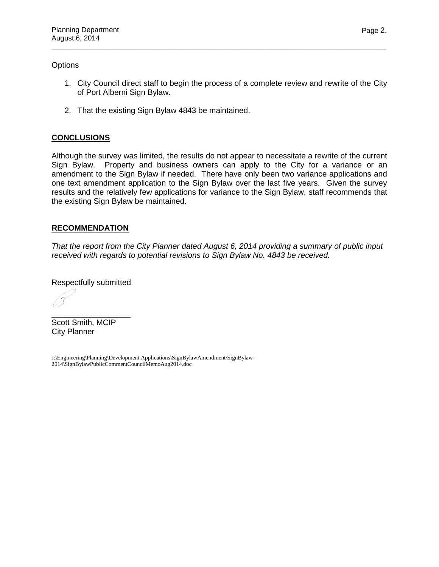#### **Options**

1. City Council direct staff to begin the process of a complete review and rewrite of the City of Port Alberni Sign Bylaw.

\_\_\_\_\_\_\_\_\_\_\_\_\_\_\_\_\_\_\_\_\_\_\_\_\_\_\_\_\_\_\_\_\_\_\_\_\_\_\_\_\_\_\_\_\_\_\_\_\_\_\_\_\_\_\_\_\_\_\_\_\_\_\_\_\_\_\_\_\_\_\_\_\_\_\_\_\_\_\_\_\_\_\_\_

2. That the existing Sign Bylaw 4843 be maintained.

#### **CONCLUSIONS**

Although the survey was limited, the results do not appear to necessitate a rewrite of the current Sign Bylaw. Property and business owners can apply to the City for a variance or an amendment to the Sign Bylaw if needed. There have only been two variance applications and one text amendment application to the Sign Bylaw over the last five years. Given the survey results and the relatively few applications for variance to the Sign Bylaw, staff recommends that the existing Sign Bylaw be maintained.

#### **RECOMMENDATION**

*That the report from the City Planner dated August 6, 2014 providing a summary of public input received with regards to potential revisions to Sign Bylaw No. 4843 be received.*

Respectfully submitted

\_\_\_\_\_\_\_\_\_\_\_\_\_\_\_\_\_\_

Scott Smith, MCIP City Planner

J:\Engineering\Planning\Development Applications\SignBylawAmendment\SignBylaw-2014\SignBylawPublicCommentCouncilMemoAug2014.doc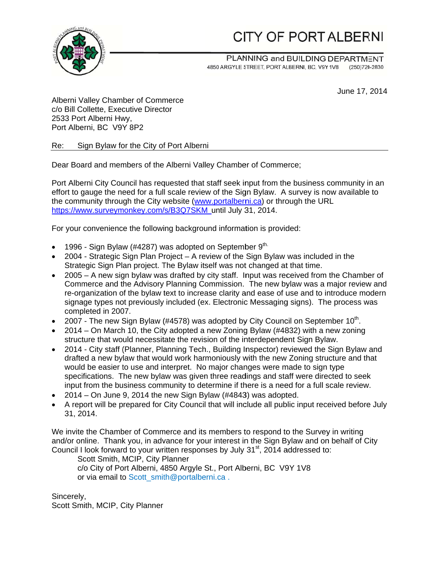# CITY OF PORT ALBERNI



PLANNING and BUILDING DEPARTMENT 4850 ARGYLE STREET, PORT ALBERNI, BC, V9Y 1V8 (250)720-2830

June 17, 2014

Alberni V Valley Cham ber of Comm merce c/o Bill Collette, Executive Director 2533 Port Alberni Hwy, Port Alberni, BC V9Y 8P2

Re: Sign Bylaw for the City of Port Alberni

Dear Board and members of the Alberni Valley Chamber of Commerce;

Port Alberni City Council has requested that staff seek input from the business community in an effort to gauge the need for a full scale review of the Sign Bylaw. A survey is now available to the community through the City website (www.portalberni.ca) or through the URL https://www.surveymonkey.com/s/B3Q7SKM\_until July 31, 2014.

For your convenience the following background information is provided:

- $\bullet$  1996 Sign Bylaw (#4287) was adopted on September 9<sup>th.</sup>
- 2004 Strategic Sign Plan Project A review of the Sign Bylaw was included in the Strategic Sign Plan project. The Bylaw itself was not changed at that time.
- 2005 A new sign bylaw was drafted by city staff. Input was received from the Chamber of Commerce and the Advisory Planning Commission. The new bylaw was a major review and re-organization of the bylaw text to increase clarity and ease of use and to introduce modern signage types not previously included (ex. Electronic Messaging signs). The process was completed in 2007.
- 2007 The new Sign Bylaw (#4578) was adopted by City Council on September 10<sup>th</sup>.
- 2014 On March 10, the City adopted a new Zoning Bylaw (#4832) with a new zoning structure that would necessitate the revision of the interdependent Sign Bylaw.
- 2014 City staff (Planner, Planning Tech., Building Inspector) reviewed the Sign Bylaw and drafted a new bylaw that would work harmoniously with the new Zoning structure and that would be easier to use and interpret. No major changes were made to sign type specifications. The new bylaw was given three readings and staff were directed to seek specifications. The new bylaw was given three readings and staff were directed to seek<br>input from the business community to determine if there is a need for a full scale review.
- $\bullet$  2014 On June 9, 2014 the new Sign Bylaw (#4843) was adopted.
- A report will be prepared for City Council that will include all public input received before July 31, 2 014.

We invite the Chamber of Commerce and its members to respond to the Survey in writing and/or online. Thank you, in advance for your interest in the Sign Bylaw and on behalf of City Council I look forward to your written responses by July 31<sup>st</sup>, 2014 addressed to:

Scott Smith, MCIP, City Planner c/o City of Port Alberni, 4850 Argyle St., Port Alberni, BC V9Y 1V8 or via email to Scott\_smith@portalberni.ca.

Sincerely, Scott Smith, MCIP, City Planner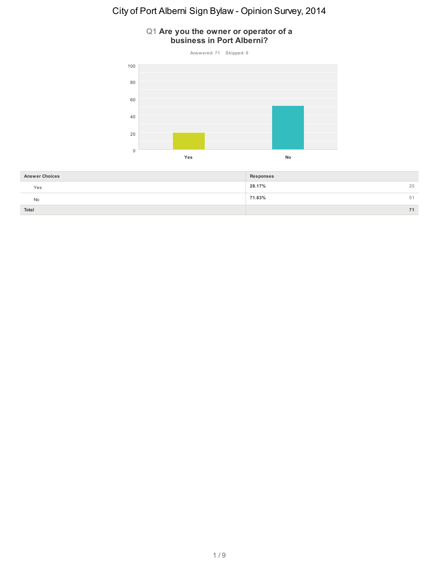#### **Q1 Are you the owner or operator of a business in Port Alberni?**



| <b>Answer Choices</b> | Responses    |
|-----------------------|--------------|
| Yes                   | 28.17%<br>20 |
| No                    | 71.83%<br>51 |
| Total                 |              |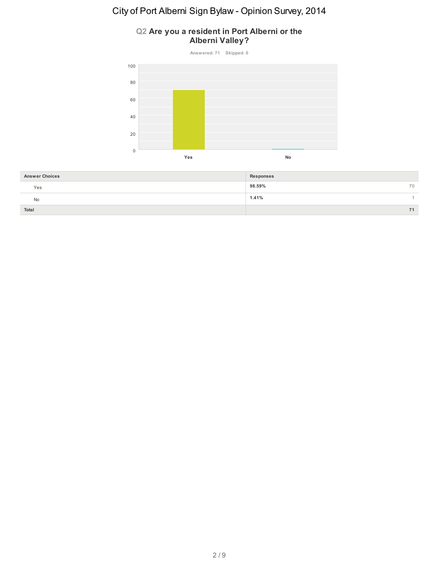### **Q2 Are you a resident in Port Alberni or the Alberni Valley?**



| <b>Answer Choices</b> | <b>Responses</b> |
|-----------------------|------------------|
| Yes                   | 98.59%<br>70     |
| No                    | 1.41%            |
| Total                 | 71               |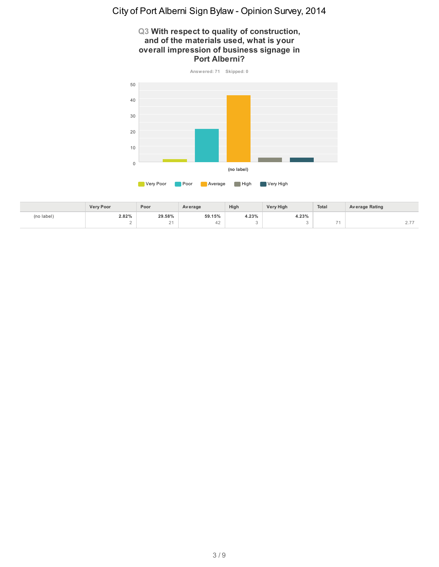#### **Q3 With respect to quality of construction, and of the materials used, what is your overall impression of business signage in Port Alberni?**



|            | <b>Very Poor</b> | Poor                       | Average | High  | <b>Very High</b> | <b>Total</b> | Average Rating |
|------------|------------------|----------------------------|---------|-------|------------------|--------------|----------------|
| (no label) | 2.82%            | 29.58%                     | 59.15%  | 4.23% | 4.23%            |              |                |
|            |                  | $\sim$ $\lambda$<br>$\sim$ | $+2$    |       |                  | <b>STAR</b>  | .              |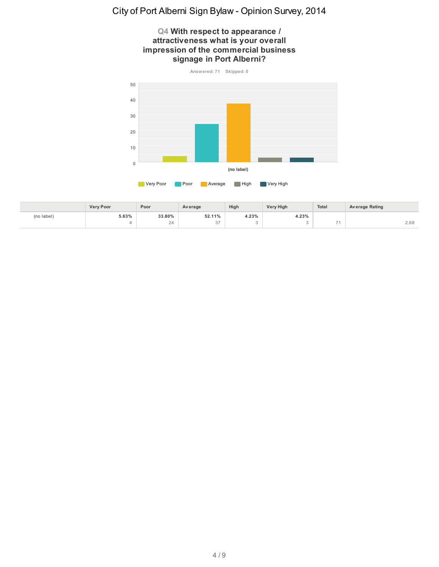#### **Q4 With respect to appearance / attractiveness what is your overall impression of the commercial business signage in Port Alberni?**



|            | <b>Verv Poor</b> | Poor         | Average                                       | High  | <b>Very High</b> | Total        | Average Rating |
|------------|------------------|--------------|-----------------------------------------------|-------|------------------|--------------|----------------|
| (no label) | 5.63%            | 33.80%       | 52.11%<br>the contract of the contract of the | 4.23% | 4.23%            |              |                |
|            |                  | $\sim$<br>24 | $\sim$ $-$                                    |       |                  | <b>STATE</b> | 2.68           |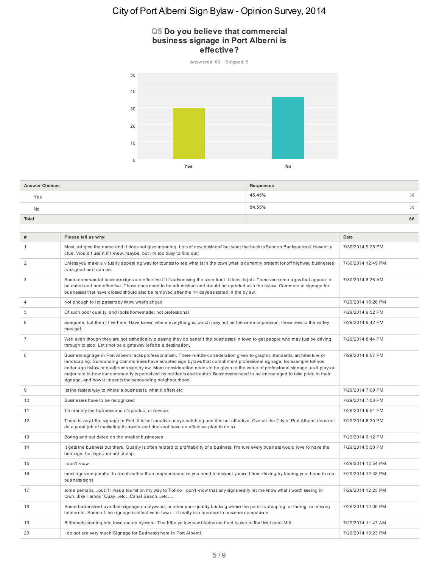#### **Q5 Do you believe that commercial business signage in Port Alberni is effective?**



| <b>Answer Choices</b> | Responses    |
|-----------------------|--------------|
| Yes                   | 45.45%<br>30 |
| No                    | 54.55%<br>36 |
| Total                 | 66           |

| #              | Please tell us why:                                                                                                                                                                                                                                                                                                                                                                                                                                                                                                                                                                                 | Date               |
|----------------|-----------------------------------------------------------------------------------------------------------------------------------------------------------------------------------------------------------------------------------------------------------------------------------------------------------------------------------------------------------------------------------------------------------------------------------------------------------------------------------------------------------------------------------------------------------------------------------------------------|--------------------|
|                |                                                                                                                                                                                                                                                                                                                                                                                                                                                                                                                                                                                                     |                    |
| $\mathbf{1}$   | Most just give the name and it does not give meaning. Lots of new business' but what the heck is Salmon Backpackers? Haven't a<br>clue. Would I use it if I knew, maybe, but I'm too busy to find out!                                                                                                                                                                                                                                                                                                                                                                                              | 7/30/2014 9:25 PM  |
| 2              | Unless you make a visually appealing way for tourists to see what is in the town what is currently present for off highway businesses<br>is as good as it can be.                                                                                                                                                                                                                                                                                                                                                                                                                                   | 7/30/2014 12:49 PM |
| 3              | Some commercial business signs are effective. If it's advertising the store front it does its job. There are some signs that appear to<br>be dated and non-effective. Those ones need to be refumished and should be updated as n the bylaw. Commercial signage for<br>businesses that have closed should also be removed after the 14 days as stated in the bylaw.                                                                                                                                                                                                                                 | 7/30/2014 8:26 AM  |
| $\overline{4}$ | Not enough to let passers by know what's ahead                                                                                                                                                                                                                                                                                                                                                                                                                                                                                                                                                      | 7/29/2014 10:26 PM |
| 5              | Of such poor quality, and looks homemade; not professional                                                                                                                                                                                                                                                                                                                                                                                                                                                                                                                                          | 7/29/2014 9:52 PM  |
| 6              | adequate, but then I live here. Have known where everything is, which may not be the same impression, those new to the valley<br>may get.                                                                                                                                                                                                                                                                                                                                                                                                                                                           | 7/29/2014 9:42 PM  |
| $\overline{7}$ | Well even though they are not esthetically pleasing they do benefit the businesses in town to get people who may just be driving<br>through to stop. Let's not be a gateway let's be a destination.                                                                                                                                                                                                                                                                                                                                                                                                 | 7/29/2014 8:44 PM  |
| 8              | Business signage in Port Albemi lacks professionalism. There is little consideration given to graphic standards, architecture or<br>landscaping. Surrounding communities have adopted sign bylaws that compliment professional signage, for example tofinos<br>cedar sign bylaw or qualicums sign bylaw. More consideration needs to be given to the value of professional signage, as it plays a<br>major role in how our community is perceived by residents and tourists. Businessess need to be encouraged to take pride in their<br>signage, and how it impacts the surrounding neighbourhood. | 7/29/2014 8:07 PM  |
| 9              | Its the fastest way to whete a business is, what it offers etc                                                                                                                                                                                                                                                                                                                                                                                                                                                                                                                                      | 7/29/2014 7:09 PM  |
| 10             | Businesses have to be recognized                                                                                                                                                                                                                                                                                                                                                                                                                                                                                                                                                                    | 7/29/2014 7:03 PM  |
| 11             | To identify the business and it's product or service.                                                                                                                                                                                                                                                                                                                                                                                                                                                                                                                                               | 7/29/2014 6:54 PM  |
| 12             | There is very little signage in Port, it is not creative or eye-catching and it is not effective. Overall the City of Port Albemi does not<br>do a good job of marketing its assets, and does not have an effective plan to do so.                                                                                                                                                                                                                                                                                                                                                                  | 7/29/2014 6:30 PM  |
| 13             | Boring and out dated on the smaller businesses                                                                                                                                                                                                                                                                                                                                                                                                                                                                                                                                                      | 7/29/2014 6:12 PM  |
| 14             | It gets the business out there. Quality is often related to profitability of a business. I'm sure every business would love to have the<br>best sign, but signs are not cheap.                                                                                                                                                                                                                                                                                                                                                                                                                      | 7/29/2014 5:58 PM  |
| 15             | I don't know                                                                                                                                                                                                                                                                                                                                                                                                                                                                                                                                                                                        | 7/29/2014 12:54 PM |
| 16             | most signs run parallel to streets rather than perpendicular so you need to distract yourself from driving by turning your head to see<br>business signs                                                                                                                                                                                                                                                                                                                                                                                                                                            | 7/29/2014 12:38 PM |
| 17             | some perhapsbut if I was a tourist on my way to Tofino I don't know that any signs really let me know what's worth seeing in<br>townlike Harbour QuayetcCanal Beachetc                                                                                                                                                                                                                                                                                                                                                                                                                              | 7/29/2014 12:25 PM |
| 18             | Some businesses have their signage on plywood, or other poor quality backing where the paint is chipping, or fading, or missing<br>letters etc. Some of the signage is effective in townit really is a business to business comparison.                                                                                                                                                                                                                                                                                                                                                             | 7/29/2014 12:06 PM |
| 19             | Billboards coming into town are an eyesore. The little yellow saw blades are hard to see to find McLeans Mill.                                                                                                                                                                                                                                                                                                                                                                                                                                                                                      | 7/29/2014 11:47 AM |
| 20             | I do not see very much Signage for Business's here in Port Albemi.                                                                                                                                                                                                                                                                                                                                                                                                                                                                                                                                  | 7/20/2014 10:23 PM |
|                |                                                                                                                                                                                                                                                                                                                                                                                                                                                                                                                                                                                                     |                    |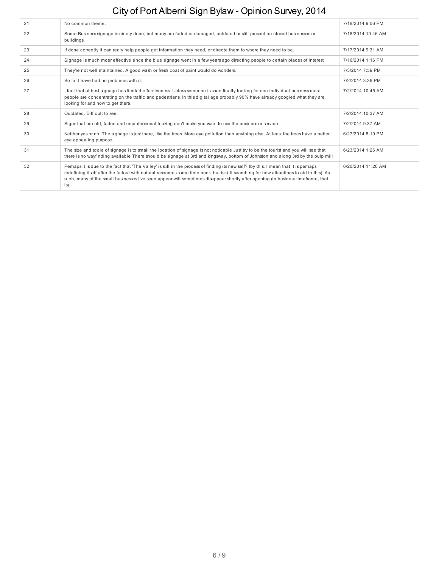| 21 | No common theme.                                                                                                                                                                                                                                                                                                                                                                                                             | 7/18/2014 9:06 PM  |
|----|------------------------------------------------------------------------------------------------------------------------------------------------------------------------------------------------------------------------------------------------------------------------------------------------------------------------------------------------------------------------------------------------------------------------------|--------------------|
| 22 | Some Business signage is nicely done, but many are faded or damaged, outdated or still present on closed businesses or<br>buildings.                                                                                                                                                                                                                                                                                         | 7/18/2014 10:46 AM |
| 23 | If done correctly it can realy help people get information they need, or directe them to where they need to be.                                                                                                                                                                                                                                                                                                              | 7/17/2014 9:31 AM  |
| 24 | Signage is much moer effective since the blue signage went in a few years ago directing people to certain places of interest                                                                                                                                                                                                                                                                                                 | 7/16/2014 1:16 PM  |
| 25 | They're not well maintained. A good wash or fresh coat of paint would do wonders.                                                                                                                                                                                                                                                                                                                                            | 7/3/2014 7:59 PM   |
| 26 | So far I have had no problems with it.                                                                                                                                                                                                                                                                                                                                                                                       | 7/2/2014 3:39 PM   |
| 27 | I feel that at best signage has limited effectiveness. Unless someone is specifically looking for one individual business most<br>people are concentrating on the traffic and pedestrians. In this digital age probably 90% have already googled what they are<br>looking for and how to get there.                                                                                                                          | 7/2/2014 10:45 AM  |
| 28 | Outdated. Difficult to see.                                                                                                                                                                                                                                                                                                                                                                                                  | 7/2/2014 10:37 AM  |
| 29 | Signs that are old, faded and unprofessional looking don't make you want to use the business or service.                                                                                                                                                                                                                                                                                                                     | 7/2/2014 9:37 AM   |
| 30 | Neither yes or no. The signage is just there, like the trees. More eye pollution than anything else. At least the trees have a better<br>eye appealing purpose.                                                                                                                                                                                                                                                              | 6/27/2014 8:19 PM  |
| 31 | The size and scale of signage is to small the location of signage is not noticable Just try to be the tourist and you will see that<br>there is no wayfinding available There should be signage at 3rd and kingsway, bottom of Johnston and along 3rd by the pulp mill                                                                                                                                                       | 6/23/2014 1:26 AM  |
| 32 | Perhaps it is due to the fact that 'The Valley' is still in the process of finding its new self? (by this, I mean that it is perhaps<br>redefining itself after the fallout with natural resources some time back, but is still searching for new attractions to aid in this). As<br>such, many of the small businesses I've seen appear will sometimes disappear shortly after opening (in business timeframe, that<br>is). | 6/20/2014 11:28 AM |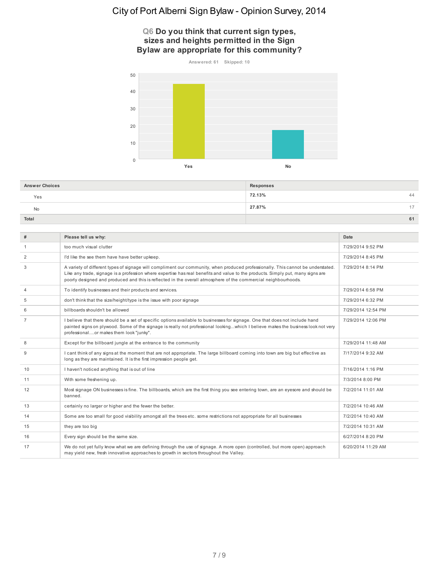#### **Q6 Do you think that current sign types, sizes and heights permitted in the Sign Bylaw are appropriate for this community?**



| <b>Answer Choices</b> | Responses |       |
|-----------------------|-----------|-------|
| Yes                   | 72.13%    | 44    |
| No.                   | 27.87%    | $4 -$ |
| Total                 |           | 61    |

| #              | Please tell us why:                                                                                                                                                                                                                                                                                                                                                                   | Date               |
|----------------|---------------------------------------------------------------------------------------------------------------------------------------------------------------------------------------------------------------------------------------------------------------------------------------------------------------------------------------------------------------------------------------|--------------------|
| -1             | too much visual clutter                                                                                                                                                                                                                                                                                                                                                               | 7/29/2014 9:52 PM  |
| 2              | I'd like the see them have have better upkeep.                                                                                                                                                                                                                                                                                                                                        | 7/29/2014 8:45 PM  |
| 3              | A variety of different types of signage will compliment our community, when produced professionally. This cannot be understated.<br>Like any trade, signage is a profession where expertise has real benefits and value to the products. Simply put, many signs are<br>poorly designed and produced and this is reflected in the overall atmosphere of the commercial neighbourhoods. | 7/29/2014 8:14 PM  |
| $\overline{4}$ | To identify businesses and their products and services.                                                                                                                                                                                                                                                                                                                               | 7/29/2014 6:58 PM  |
| 5              | don't think that the size/height/type is the issue with poor signage                                                                                                                                                                                                                                                                                                                  | 7/29/2014 6:32 PM  |
| 6              | billboards shouldn't be allowed                                                                                                                                                                                                                                                                                                                                                       | 7/29/2014 12:54 PM |
| 7              | I believe that there should be a set of specific options available to businesses for signage. One that does not include hand<br>painted signs on plywood. Some of the signage is really not professional lookingwhich I believe makes the business look not very<br>professionalor makes them look "junky".                                                                           | 7/29/2014 12:06 PM |
| 8              | Except for the billboard jungle at the entrance to the community                                                                                                                                                                                                                                                                                                                      | 7/29/2014 11:48 AM |
| 9              | I cant think of any signs at the moment that are not appropriate. The large billboard coming into town are big but effective as<br>long as they are maintained. It is the first impression people get.                                                                                                                                                                                | 7/17/2014 9:32 AM  |
| 10             | I haven't noticed anything that is out of line                                                                                                                                                                                                                                                                                                                                        | 7/16/2014 1:16 PM  |
| 11             | With some freshening up.                                                                                                                                                                                                                                                                                                                                                              | 7/3/2014 8:00 PM   |
| 12             | Most signage ON businesses is fine. The billboards, which are the first thing you see entering town, are an eyesore and should be<br>banned.                                                                                                                                                                                                                                          | 7/2/2014 11:01 AM  |
| 13             | certainly no larger or higher and the fewer the better.                                                                                                                                                                                                                                                                                                                               | 7/2/2014 10:46 AM  |
| 14             | Some are too small for good visibility amongst all the trees etc. some restrictions not appropriate for all businesses                                                                                                                                                                                                                                                                | 7/2/2014 10:40 AM  |
| 15             | they are too big                                                                                                                                                                                                                                                                                                                                                                      | 7/2/2014 10:31 AM  |
| 16             | Every sign should be the same size.                                                                                                                                                                                                                                                                                                                                                   | 6/27/2014 8:20 PM  |
| 17             | We do not yet fully know what we are defining through the use of signage. A more open (controlled, but more open) approach<br>may yield new, fresh innovative approaches to growth in sectors throughout the Valley.                                                                                                                                                                  | 6/20/2014 11:29 AM |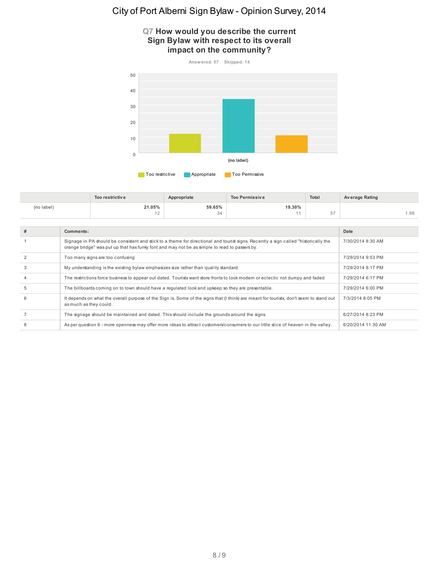#### **Q7 How would you describe the current Sign Bylaw with respect to its overall impact on the community?**



|            | Too restrictive | Appropriate | <b>Too Permissive</b> | Total         | <b>Average Rating</b> |
|------------|-----------------|-------------|-----------------------|---------------|-----------------------|
| (no label) | 21.05%          | 59.65%      | 19.30%                |               |                       |
|            | $\sim$          | 34          |                       | $-$<br>$\cup$ | i.98                  |

| #              | Comments:                                                                                                                                                                                                                            | Date               |
|----------------|--------------------------------------------------------------------------------------------------------------------------------------------------------------------------------------------------------------------------------------|--------------------|
|                | Signage in PA should be consistent and stick to a theme for directional and tourist signs. Recently a sign called "historically the<br>orange bridge" was put up that has funky font and may not be as simple to read to passers by. | 7/30/2014 8:30 AM  |
| $\overline{2}$ | Too many signs are too confusing                                                                                                                                                                                                     | 7/29/2014 9:53 PM  |
| 3              | My understanding is the existing bylaw emphasizes size rather than quality standard.                                                                                                                                                 | 7/29/2014 8:17 PM  |
| $\overline{4}$ | The restrictions force business to appear out dated. Tourists want store fronts to look modern or eclectic not dumpy and faded                                                                                                       | 7/29/2014 6:17 PM  |
| 5              | The billboards coming on to town should have a regulated look and upkeep so they are presentable.                                                                                                                                    | 7/29/2014 6:00 PM  |
| 6              | It depends on what the overall purpose of the Sign is. Some of the signs that (I think) are meant for tourists, don't seem to stand out<br>as much as they could.                                                                    | 7/3/2014 8:05 PM   |
|                | The signage should be maintained and dated. This should include the grounds around the signs.                                                                                                                                        | 6/27/2014 8:23 PM  |
| 8              | As per question 6 - more openness may offer more ideas to attract customers/consumers to our little slice of heaven in the valley.                                                                                                   | 6/20/2014 11:30 AM |